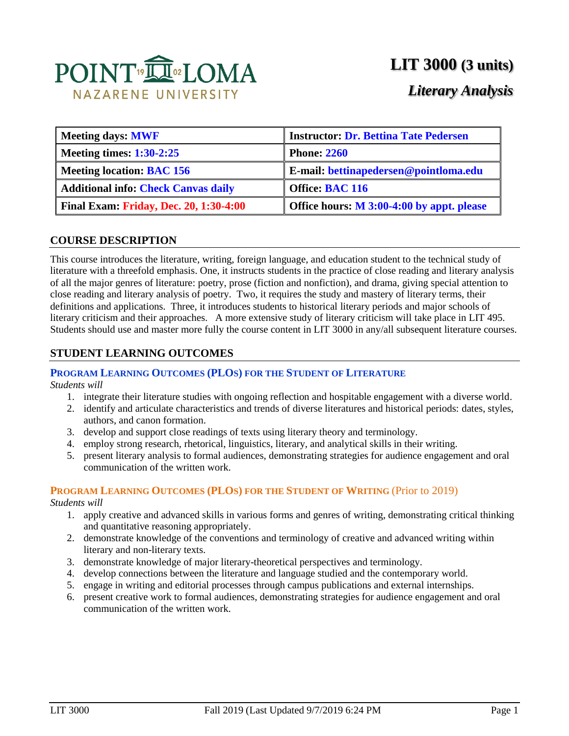

# **LIT 3000 (3 units)**

## *Literary Analysis*

| <b>Meeting days: MWF</b>                      | <b>Instructor: Dr. Bettina Tate Pedersen</b> |  |  |
|-----------------------------------------------|----------------------------------------------|--|--|
| <b>Meeting times: 1:30-2:25</b>               | <b>Phone: 2260</b>                           |  |  |
| <b>Meeting location: BAC 156</b>              | E-mail: bettinapedersen@pointloma.edu        |  |  |
| <b>Additional info: Check Canvas daily</b>    | <b>Office: BAC 116</b>                       |  |  |
| <b>Final Exam: Friday, Dec. 20, 1:30-4:00</b> | Office hours: M 3:00-4:00 by appt. please    |  |  |

#### **COURSE DESCRIPTION**

This course introduces the literature, writing, foreign language, and education student to the technical study of literature with a threefold emphasis. One, it instructs students in the practice of close reading and literary analysis of all the major genres of literature: poetry, prose (fiction and nonfiction), and drama, giving special attention to close reading and literary analysis of poetry. Two, it requires the study and mastery of literary terms, their definitions and applications. Three, it introduces students to historical literary periods and major schools of literary criticism and their approaches. A more extensive study of literary criticism will take place in LIT 495. Students should use and master more fully the course content in LIT 3000 in any/all subsequent literature courses.

### **STUDENT LEARNING OUTCOMES**

#### **PROGRAM LEARNING OUTCOMES (PLOS) FOR THE STUDENT OF LITERATURE**

*Students will*

- 1. integrate their literature studies with ongoing reflection and hospitable engagement with a diverse world.
- 2. identify and articulate characteristics and trends of diverse literatures and historical periods: dates, styles, authors, and canon formation.
- 3. develop and support close readings of texts using literary theory and terminology.
- 4. employ strong research, rhetorical, linguistics, literary, and analytical skills in their writing.
- 5. present literary analysis to formal audiences, demonstrating strategies for audience engagement and oral communication of the written work.

### **PROGRAM LEARNING OUTCOMES (PLOS) FOR THE STUDENT OF WRITING** (Prior to 2019)

*Students will*

- 1. apply creative and advanced skills in various forms and genres of writing, demonstrating critical thinking and quantitative reasoning appropriately.
- 2. demonstrate knowledge of the conventions and terminology of creative and advanced writing within literary and non-literary texts.
- 3. demonstrate knowledge of major literary-theoretical perspectives and terminology.
- 4. develop connections between the literature and language studied and the contemporary world.
- 5. engage in writing and editorial processes through campus publications and external internships.
- 6. present creative work to formal audiences, demonstrating strategies for audience engagement and oral communication of the written work.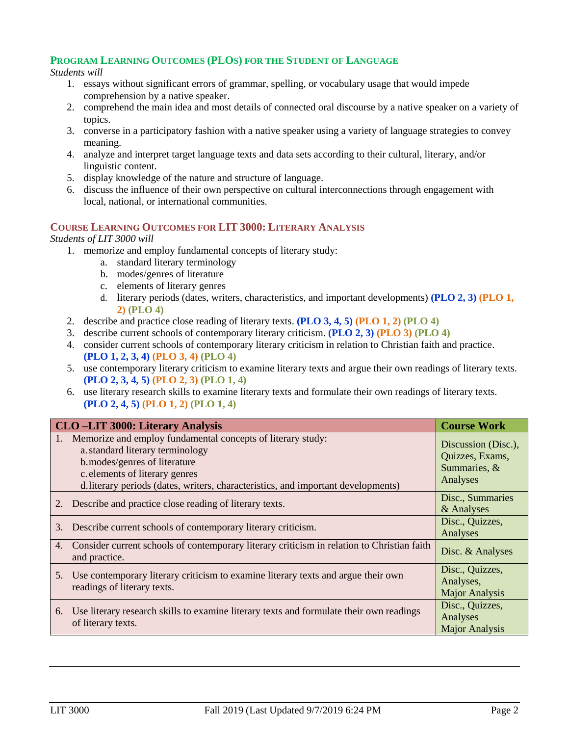#### **PROGRAM LEARNING OUTCOMES (PLOS) FOR THE STUDENT OF LANGUAGE**

#### *Students will*

- 1. essays without significant errors of grammar, spelling, or vocabulary usage that would impede comprehension by a native speaker.
- 2. comprehend the main idea and most details of connected oral discourse by a native speaker on a variety of topics.
- 3. converse in a participatory fashion with a native speaker using a variety of language strategies to convey meaning.
- 4. analyze and interpret target language texts and data sets according to their cultural, literary, and/or linguistic content.
- 5. display knowledge of the nature and structure of language.
- 6. discuss the influence of their own perspective on cultural interconnections through engagement with local, national, or international communities.

#### **COURSE LEARNING OUTCOMES FOR LIT 3000: LITERARY ANALYSIS**

#### *Students of LIT 3000 will*

- 1. memorize and employ fundamental concepts of literary study:
	- a. standard literary terminology
	- b. modes/genres of literature
	- c. elements of literary genres
	- d. literary periods (dates, writers, characteristics, and important developments) **(PLO 2, 3) (PLO 1, 2) (PLO 4)**
- 2. describe and practice close reading of literary texts. **(PLO 3, 4, 5) (PLO 1, 2) (PLO 4)**
- 3. describe current schools of contemporary literary criticism. **(PLO 2, 3) (PLO 3) (PLO 4)**
- 4. consider current schools of contemporary literary criticism in relation to Christian faith and practice. **(PLO 1, 2, 3, 4) (PLO 3, 4) (PLO 4)**
- 5. use contemporary literary criticism to examine literary texts and argue their own readings of literary texts. **(PLO 2, 3, 4, 5) (PLO 2, 3) (PLO 1, 4)**
- 6. use literary research skills to examine literary texts and formulate their own readings of literary texts. **(PLO 2, 4, 5) (PLO 1, 2) (PLO 1, 4)**

|    | <b>CLO-LIT 3000: Literary Analysis</b>                                                                                                                                                                                                                  | <b>Course Work</b>                                                 |
|----|---------------------------------------------------------------------------------------------------------------------------------------------------------------------------------------------------------------------------------------------------------|--------------------------------------------------------------------|
|    | Memorize and employ fundamental concepts of literary study:<br>a. standard literary terminology<br>b. modes/genres of literature<br>c. elements of literary genres<br>d. literary periods (dates, writers, characteristics, and important developments) | Discussion (Disc.),<br>Quizzes, Exams,<br>Summaries, &<br>Analyses |
|    | Describe and practice close reading of literary texts.                                                                                                                                                                                                  | Disc., Summaries<br>& Analyses                                     |
| 3. | Describe current schools of contemporary literary criticism.                                                                                                                                                                                            | Disc., Quizzes,<br>Analyses                                        |
| 4. | Consider current schools of contemporary literary criticism in relation to Christian faith<br>and practice.                                                                                                                                             | Disc. & Analyses                                                   |
| 5. | Use contemporary literary criticism to examine literary texts and argue their own<br>readings of literary texts.                                                                                                                                        | Disc., Quizzes,<br>Analyses,<br><b>Major Analysis</b>              |
| 6. | Use literary research skills to examine literary texts and formulate their own readings<br>of literary texts.                                                                                                                                           | Disc., Quizzes,<br>Analyses<br><b>Major Analysis</b>               |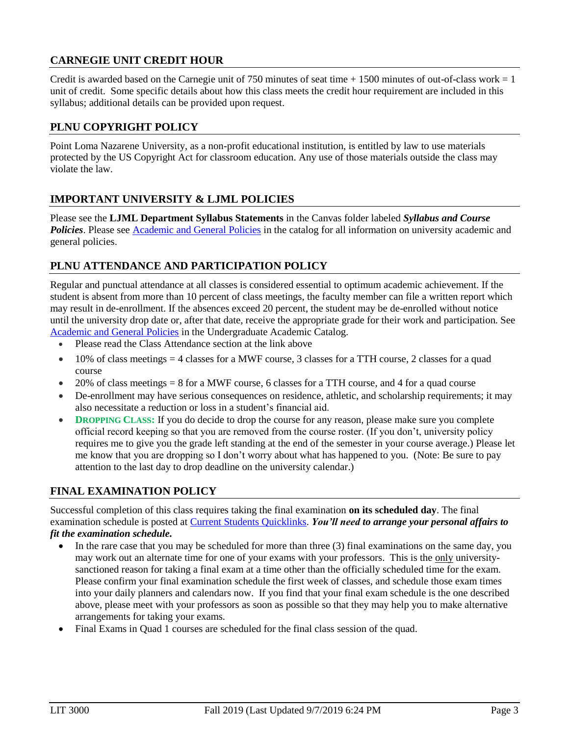### **CARNEGIE UNIT CREDIT HOUR**

Credit is awarded based on the Carnegie unit of 750 minutes of seat time  $+ 1500$  minutes of out-of-class work  $= 1$ unit of credit. Some specific details about how this class meets the credit hour requirement are included in this syllabus; additional details can be provided upon request.

#### **PLNU COPYRIGHT POLICY**

Point Loma Nazarene University, as a non-profit educational institution, is entitled by law to use materials protected by the US Copyright Act for classroom education. Any use of those materials outside the class may violate the law.

### **IMPORTANT UNIVERSITY & LJML POLICIES**

Please see the **LJML Department Syllabus Statements** in the Canvas folder labeled *Syllabus and Course*  Policies. Please see **Academic and General Policies** in the catalog for all information on university academic and general policies.

### **PLNU ATTENDANCE AND PARTICIPATION POLICY**

Regular and punctual attendance at all classes is considered essential to optimum academic achievement. If the student is absent from more than 10 percent of class meetings, the faculty member can file a written report which may result in de-enrollment. If the absences exceed 20 percent, the student may be de-enrolled without notice until the university drop date or, after that date, receive the appropriate grade for their work and participation. See [Academic and General Policies](https://catalog.pointloma.edu/content.php?catoid=41&navoid=2435) in the Undergraduate Academic Catalog.

- Please read the Class Attendance section at the link above
- $\bullet$  10% of class meetings = 4 classes for a MWF course, 3 classes for a TTH course, 2 classes for a quad course
- 20% of class meetings = 8 for a MWF course, 6 classes for a TTH course, and 4 for a quad course
- De-enrollment may have serious consequences on residence, athletic, and scholarship requirements; it may also necessitate a reduction or loss in a student's financial aid.
- **DROPPING CLASS: If you do decide to drop the course for any reason, please make sure you complete** official record keeping so that you are removed from the course roster. (If you don't, university policy requires me to give you the grade left standing at the end of the semester in your course average.) Please let me know that you are dropping so I don't worry about what has happened to you. (Note: Be sure to pay attention to the last day to drop deadline on the university calendar.)

### **FINAL EXAMINATION POLICY**

Successful completion of this class requires taking the final examination **on its scheduled day**. The final examination schedule is posted at [Current Students Quicklinks.](https://www.pointloma.edu/current-students) *You'll need to arrange your personal affairs to fit the examination schedule.*

- In the rare case that you may be scheduled for more than three (3) final examinations on the same day, you may work out an alternate time for one of your exams with your professors. This is the only universitysanctioned reason for taking a final exam at a time other than the officially scheduled time for the exam. Please confirm your final examination schedule the first week of classes, and schedule those exam times into your daily planners and calendars now. If you find that your final exam schedule is the one described above, please meet with your professors as soon as possible so that they may help you to make alternative arrangements for taking your exams.
- Final Exams in Quad 1 courses are scheduled for the final class session of the quad.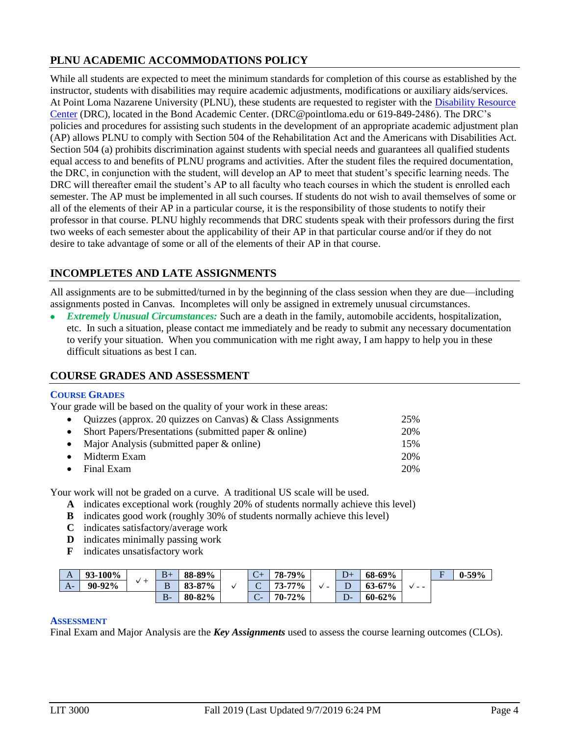### **PLNU ACADEMIC ACCOMMODATIONS POLICY**

While all students are expected to meet the minimum standards for completion of this course as established by the instructor, students with disabilities may require academic adjustments, modifications or auxiliary aids/services. At Point Loma Nazarene University (PLNU), these students are requested to register with the [Disability Resource](http://www.pointloma.edu/experience/offices/administrative-offices/academic-advising-office/disability-resource-center)  [Center](http://www.pointloma.edu/experience/offices/administrative-offices/academic-advising-office/disability-resource-center) (DRC), located in the Bond Academic Center. (DRC@pointloma.edu or 619-849-2486). The DRC's policies and procedures for assisting such students in the development of an appropriate academic adjustment plan (AP) allows PLNU to comply with Section 504 of the Rehabilitation Act and the Americans with Disabilities Act. Section 504 (a) prohibits discrimination against students with special needs and guarantees all qualified students equal access to and benefits of PLNU programs and activities. After the student files the required documentation, the DRC, in conjunction with the student, will develop an AP to meet that student's specific learning needs. The DRC will thereafter email the student's AP to all faculty who teach courses in which the student is enrolled each semester. The AP must be implemented in all such courses. If students do not wish to avail themselves of some or all of the elements of their AP in a particular course, it is the responsibility of those students to notify their professor in that course. PLNU highly recommends that DRC students speak with their professors during the first two weeks of each semester about the applicability of their AP in that particular course and/or if they do not desire to take advantage of some or all of the elements of their AP in that course.

## **INCOMPLETES AND LATE ASSIGNMENTS**

All assignments are to be submitted/turned in by the beginning of the class session when they are due—including assignments posted in Canvas. Incompletes will only be assigned in extremely unusual circumstances.

 *Extremely Unusual Circumstances:* Such are a death in the family, automobile accidents, hospitalization, etc. In such a situation, please contact me immediately and be ready to submit any necessary documentation to verify your situation. When you communication with me right away, I am happy to help you in these difficult situations as best I can.

### **COURSE GRADES AND ASSESSMENT**

#### **COURSE GRADES**

Your grade will be based on the quality of your work in these areas:

| • Quizzes (approx. 20 quizzes on Canvas) & Class Assignments | 25% |
|--------------------------------------------------------------|-----|
| • Short Papers/Presentations (submitted paper $\&$ online)   | 20% |
| • Major Analysis (submitted paper $\&$ online)               | 15% |
| $\bullet$ Midterm Exam                                       | 20% |
| $\bullet$ Final Exam                                         | 20% |

Your work will not be graded on a curve. A traditional US scale will be used.

- **A** indicates exceptional work (roughly 20% of students normally achieve this level)
- **B** indicates good work (roughly 30% of students normally achieve this level)
- **C** indicates satisfactory/average work
- **D** indicates minimally passing work
- **F** indicates unsatisfactory work

| A    | <b>93-100%</b> | $\div$<br> | $B+$    | 88-89%             | $\sqrt{ }$<br>$\mathcal{L}^+$ | 79%<br>78-    |                          |                          | $\sim$     | 68-69% |  | $\blacksquare$ | $0 - 59\%$ |
|------|----------------|------------|---------|--------------------|-------------------------------|---------------|--------------------------|--------------------------|------------|--------|--|----------------|------------|
| $A-$ | 90-92%         |            | B       | 87%<br>92<br>00-01 | ⌒<br>$\tilde{}$               | $77\%$<br>73- | $\overline{\phantom{a}}$ | ∸                        | $63 - 67%$ | $ -$   |  |                |            |
|      |                |            | D<br>D. | 80-82%             | $\sqrt{ }$<br>$\sim$          | 72%<br>$70-$  |                          | $\overline{\mathcal{L}}$ | $60 - 62%$ |        |  |                |            |

#### **ASSESSMENT**

Final Exam and Major Analysis are the *Key Assignments* used to assess the course learning outcomes (CLOs).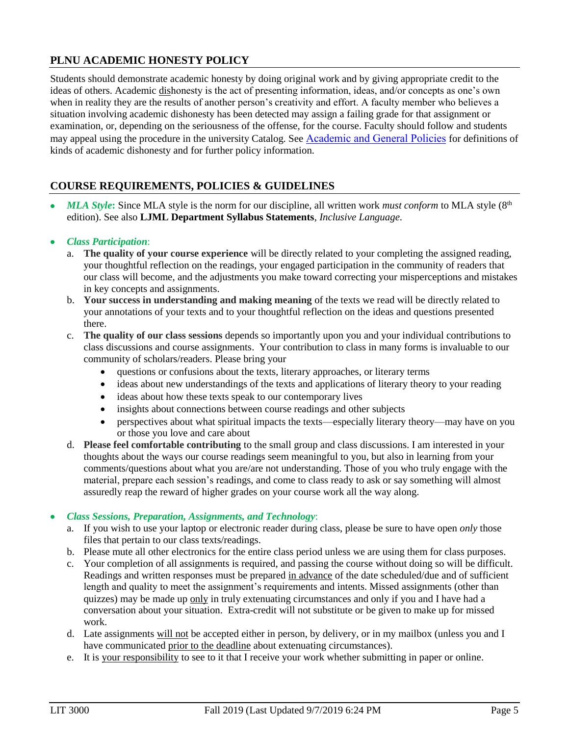### **PLNU ACADEMIC HONESTY POLICY**

Students should demonstrate academic honesty by doing original work and by giving appropriate credit to the ideas of others. Academic dishonesty is the act of presenting information, ideas, and/or concepts as one's own when in reality they are the results of another person's creativity and effort. A faculty member who believes a situation involving academic dishonesty has been detected may assign a failing grade for that assignment or examination, or, depending on the seriousness of the offense, for the course. Faculty should follow and students may appeal using the procedure in the university Catalog. See [Academic and General Policies](https://catalog.pointloma.edu/content.php?catoid=41&navoid=2435) for definitions of kinds of academic dishonesty and for further policy information.

## **COURSE REQUIREMENTS, POLICIES & GUIDELINES**

*MLA Style*: Since MLA style is the norm for our discipline, all written work *must conform* to MLA style (8<sup>th</sup>) edition). See also **LJML Department Syllabus Statements**, *Inclusive Language*.

#### *Class Participation*:

- a. **The quality of your course experience** will be directly related to your completing the assigned reading, your thoughtful reflection on the readings, your engaged participation in the community of readers that our class will become, and the adjustments you make toward correcting your misperceptions and mistakes in key concepts and assignments.
- b. **Your success in understanding and making meaning** of the texts we read will be directly related to your annotations of your texts and to your thoughtful reflection on the ideas and questions presented there.
- c. **The quality of our class sessions** depends so importantly upon you and your individual contributions to class discussions and course assignments. Your contribution to class in many forms is invaluable to our community of scholars/readers. Please bring your
	- questions or confusions about the texts, literary approaches, or literary terms
	- ideas about new understandings of the texts and applications of literary theory to your reading
	- ideas about how these texts speak to our contemporary lives
	- insights about connections between course readings and other subjects
	- perspectives about what spiritual impacts the texts—especially literary theory—may have on you or those you love and care about
- d. **Please feel comfortable contributing** to the small group and class discussions. I am interested in your thoughts about the ways our course readings seem meaningful to you, but also in learning from your comments/questions about what you are/are not understanding. Those of you who truly engage with the material, prepare each session's readings, and come to class ready to ask or say something will almost assuredly reap the reward of higher grades on your course work all the way along.

#### *Class Sessions, Preparation, Assignments, and Technology*:

- a. If you wish to use your laptop or electronic reader during class, please be sure to have open *only* those files that pertain to our class texts/readings.
- b. Please mute all other electronics for the entire class period unless we are using them for class purposes.
- c. Your completion of all assignments is required, and passing the course without doing so will be difficult. Readings and written responses must be prepared in advance of the date scheduled/due and of sufficient length and quality to meet the assignment's requirements and intents. Missed assignments (other than quizzes) may be made up only in truly extenuating circumstances and only if you and I have had a conversation about your situation. Extra-credit will not substitute or be given to make up for missed work.
- d. Late assignments will not be accepted either in person, by delivery, or in my mailbox (unless you and I have communicated prior to the deadline about extenuating circumstances).
- e. It is your responsibility to see to it that I receive your work whether submitting in paper or online.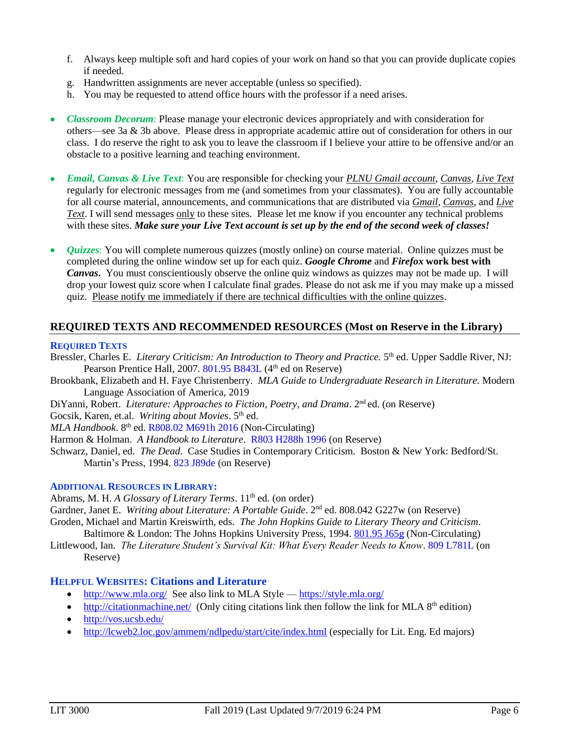- f. Always keep multiple soft and hard copies of your work on hand so that you can provide duplicate copies if needed.
- g. Handwritten assignments are never acceptable (unless so specified).
- h. You may be requested to attend office hours with the professor if a need arises.
- *Classroom Decorum*: Please manage your electronic devices appropriately and with consideration for others—see 3a & 3b above. Please dress in appropriate academic attire out of consideration for others in our class. I do reserve the right to ask you to leave the classroom if I believe your attire to be offensive and/or an obstacle to a positive learning and teaching environment.
- *Email, Canvas & Live Text*: You are responsible for checking your *PLNU Gmail account*, *Canvas*, *Live Text* regularly for electronic messages from me (and sometimes from your classmates). You are fully accountable for all course material, announcements, and communications that are distributed via *Gmail*, *Canvas*, and *Live Text*. I will send messages only to these sites. Please let me know if you encounter any technical problems with these sites. *Make sure your Live Text account is set up by the end of the second week of classes!*
- *Quizzes*: You will complete numerous quizzes (mostly online) on course material. Online quizzes must be completed during the online window set up for each quiz. *Google Chrome* and *Firefox* **work best with**  *Canvas***.** You must conscientiously observe the online quiz windows as quizzes may not be made up. I will drop your lowest quiz score when I calculate final grades. Please do not ask me if you may make up a missed quiz. Please notify me immediately if there are technical difficulties with the online quizzes.

#### **REQUIRED TEXTS AND RECOMMENDED RESOURCES (Most on Reserve in the Library)**

#### **REQUIRED TEXTS**

- Bressler, Charles E. *Literary Criticism: An Introduction to Theory and Practice*. 5<sup>th</sup> ed. Upper Saddle River, NJ: Pearson Prentice Hall, 2007. 801.95 B843L (4th ed on Reserve)
- Brookbank, Elizabeth and H. Faye Christenberry. *MLA Guide to Undergraduate Research in Literature.* Modern Language Association of America, 2019
- DiYanni, Robert. *Literature: Approaches to Fiction, Poetry, and Drama.* 2<sup>nd</sup> ed. (on Reserve)

Gocsik, Karen, et.al. Writing about Movies. 5<sup>th</sup> ed.

MLA Handbook. 8<sup>th</sup> ed. R808.02 M691h 2016 (Non-Circulating)

Harmon & Holman. *A Handbook to Literature*. R803 H288h 1996 (on Reserve)

Schwarz, Daniel, ed. *The Dead*. Case Studies in Contemporary Criticism. Boston & New York: Bedford/St. Martin's Press, 1994. 823 J89de (on Reserve)

#### **ADDITIONAL RESOURCES IN LIBRARY:**

Abrams, M. H. *A Glossary of Literary Terms*. 11<sup>th</sup> ed. (on order)

Gardner, Janet E. *Writing about Literature: A Portable Guide*. 2nd ed. 808.042 G227w (on Reserve) Groden, Michael and Martin Kreiswirth, eds. *The John Hopkins Guide to Literary Theory and Criticism*.

Baltimore & London: The Johns Hopkins University Press, 1994. [801.95 J65g](http://phineas.pointloma.edu/search~S0?/c801.95+J65g/c801.95+j65g/-3,-1,,E/browse) (Non-Circulating) Littlewood, Ian. *The Literature Student's Survival Kit: What Every Reader Needs to Know*. 809 L781L (on

Reserve)

#### **HELPFUL WEBSITES: Citations and Literature**

- <http://www.mla.org/>See also link to MLA Style <https://style.mla.org/>
- $\bullet$  <http://citationmachine.net/>(Only citing citations link then follow the link for MLA 8<sup>th</sup> edition)
- <http://vos.ucsb.edu/>
- <http://lcweb2.loc.gov/ammem/ndlpedu/start/cite/index.html> (especially for Lit. Eng. Ed majors)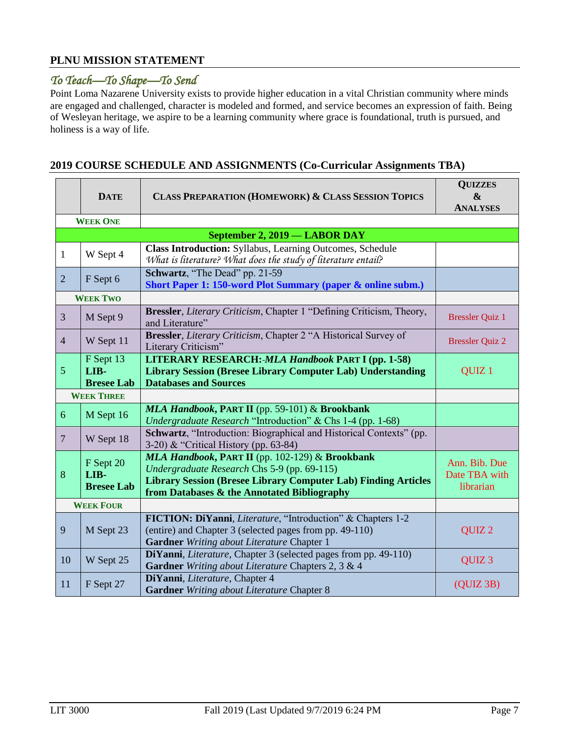#### **PLNU MISSION STATEMENT**

### *To Teach—To Shape—To Send*

Point Loma Nazarene University exists to provide higher education in a vital Christian community where minds are engaged and challenged, character is modeled and formed, and service becomes an expression of faith. Being of Wesleyan heritage, we aspire to be a learning community where grace is foundational, truth is pursued, and holiness is a way of life.

#### **DATE CLASS PREPARATION (HOMEWORK) & CLASS SESSION TOPICS QUIZZES & ANALYSES WEEK ONE September 2, 2019 — LABOR DAY** 1 W Sept 4 **Class Introduction:** Syllabus, Learning Outcomes, Schedule *What is literature? What does the study of literature entail?* <sup>2</sup> F Sept 6 **Schwartz**, "The Dead" pp. 21-59 **Short Paper 1: 150-word Plot Summary (paper & online subm.) WEEK TWO** 3 M Sept 9 **Bressler**, *Literary Criticism*, Chapter 1 "Defining Criticism, Theory, Bressler Quiz 1 <sup>4</sup> <sup>W</sup> Sept 11 **Bressler**, *Literary Criticism*, Chapter 2 "A Historical Survey of Bressler, Elerary Criticism, Chapter 2, A Historical Strivey of Bressler Quiz 2 5 F Sept 13 **LIB-Bresee Lab LITERARY RESEARCH:** *MLA Handbook* **PART I (pp. 1-58) Library Session (Bresee Library Computer Lab) Understanding Databases and Sources** QUIZ 1 **WEEK THREE** <sup>6</sup> M Sept 16 *MLA Handbook***, PART II** (pp. 59-101) & **Brookbank**  *Undergraduate Research* "Introduction" & Chs 1-4 (pp. 1-68) <sup>7</sup> <sup>W</sup> Sept 18 **Schwartz**, "Introduction: Biographical and Historical Contexts" (pp. 3-20) & "Critical History (pp. 63-84) 8 F Sept 20 **LIB-Bresee Lab** *MLA Handbook***, PART II** (pp. 102-129) & **Brookbank**  *Undergraduate Research* Chs 5-9 (pp. 69-115) **Library Session (Bresee Library Computer Lab) Finding Articles from Databases & the Annotated Bibliography** Ann. Bib. Due Date TBA with librarian **WEEK FOUR** 9 M Sept 23 **FICTION: DiYanni**, *Literature*, "Introduction" & Chapters 1-2 (entire) and Chapter 3 (selected pages from pp. 49-110) **Gardner** *Writing about Literature* Chapter 1 QUIZ 2 10 W Sept 25 **DiYanni**, *Literature*, Chapter 3 (selected pages from pp. 49-110) **Gardner** *Writing about Literature* Chapters 2, 3 & 4 QUIZ 3 <sup>11</sup> <sup>F</sup> Sept 27 **DiYanni**, *Literature*, Chapter 4 **Gardner** *Writing about Literature* Chapter 8 (QUIZ 3B)

#### **2019 COURSE SCHEDULE AND ASSIGNMENTS (Co-Curricular Assignments TBA)**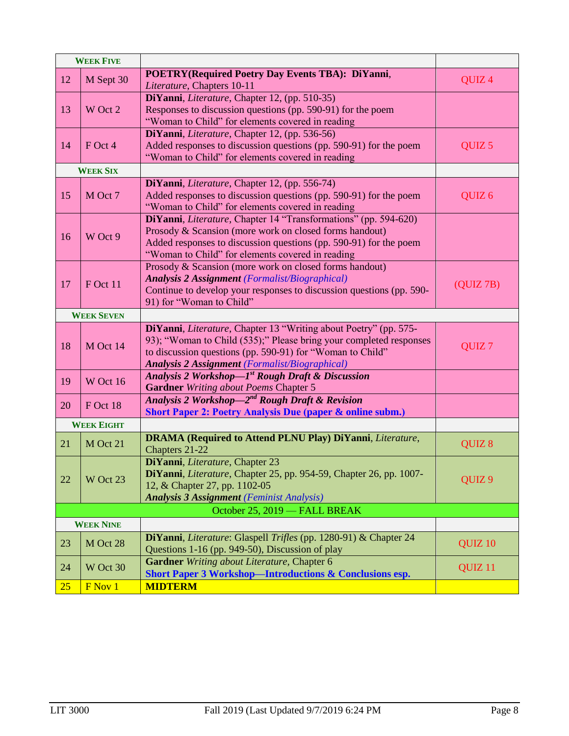|    | <b>WEEK FIVE</b>  |                                                                                                                     |                    |
|----|-------------------|---------------------------------------------------------------------------------------------------------------------|--------------------|
| 12 | M Sept 30         | <b>POETRY(Required Poetry Day Events TBA): DiYanni,</b>                                                             |                    |
|    |                   | Literature, Chapters 10-11                                                                                          | QUIZ <sub>4</sub>  |
| 13 | W Oct 2           | DiYanni, Literature, Chapter 12, (pp. 510-35)<br>Responses to discussion questions (pp. 590-91) for the poem        |                    |
|    |                   | "Woman to Child" for elements covered in reading                                                                    |                    |
|    |                   | DiYanni, Literature, Chapter 12, (pp. 536-56)                                                                       |                    |
| 14 | F Oct 4           | Added responses to discussion questions (pp. 590-91) for the poem                                                   | QUIZ <sub>5</sub>  |
|    |                   | "Woman to Child" for elements covered in reading                                                                    |                    |
|    | <b>WEEK SIX</b>   |                                                                                                                     |                    |
|    |                   | DiYanni, Literature, Chapter 12, (pp. 556-74)                                                                       |                    |
| 15 | M Oct 7           | Added responses to discussion questions (pp. 590-91) for the poem                                                   | QUIZ <sub>6</sub>  |
|    |                   | "Woman to Child" for elements covered in reading<br>DiYanni, Literature, Chapter 14 "Transformations" (pp. 594-620) |                    |
|    |                   | Prosody & Scansion (more work on closed forms handout)                                                              |                    |
| 16 | W Oct 9           | Added responses to discussion questions (pp. 590-91) for the poem                                                   |                    |
|    |                   | "Woman to Child" for elements covered in reading                                                                    |                    |
|    |                   | Prosody & Scansion (more work on closed forms handout)                                                              |                    |
| 17 | F Oct 11          | <b>Analysis 2 Assignment</b> (Formalist/Biographical)                                                               | (QUIZ7B)           |
|    |                   | Continue to develop your responses to discussion questions (pp. 590-                                                |                    |
|    |                   | 91) for "Woman to Child"                                                                                            |                    |
|    | <b>WEEK SEVEN</b> |                                                                                                                     |                    |
|    |                   | DiYanni, Literature, Chapter 13 "Writing about Poetry" (pp. 575-                                                    |                    |
| 18 | M Oct 14          | 93); "Woman to Child (535);" Please bring your completed responses                                                  | QUIZ <sub>7</sub>  |
|    |                   | to discussion questions (pp. 590-91) for "Woman to Child"<br><b>Analysis 2 Assignment</b> (Formalist/Biographical)  |                    |
|    |                   | Analysis 2 Workshop—I <sup>st</sup> Rough Draft & Discussion                                                        |                    |
| 19 | W Oct 16          | Gardner Writing about Poems Chapter 5                                                                               |                    |
| 20 |                   | Analysis 2 Workshop—2 <sup>nd</sup> Rough Draft & Revision                                                          |                    |
|    | F Oct 18          | <b>Short Paper 2: Poetry Analysis Due (paper &amp; online subm.)</b>                                                |                    |
|    | <b>WEEK EIGHT</b> |                                                                                                                     |                    |
| 21 | M Oct 21          | <b>DRAMA</b> (Required to Attend PLNU Play) DiYanni, Literature,                                                    | QUIZ 8             |
|    |                   | Chapters 21-22                                                                                                      |                    |
|    |                   | DiYanni, Literature, Chapter 23                                                                                     |                    |
| 22 | W Oct 23          | DiYanni, Literature, Chapter 25, pp. 954-59, Chapter 26, pp. 1007-<br>12, & Chapter 27, pp. 1102-05                 | QUIZ <sub>9</sub>  |
|    |                   | <b>Analysis 3 Assignment</b> (Feminist Analysis)                                                                    |                    |
|    |                   |                                                                                                                     |                    |
|    | <b>WEEK NINE</b>  | October 25, 2019 - FALL BREAK                                                                                       |                    |
|    |                   | DiYanni, Literature: Glaspell Trifles (pp. 1280-91) & Chapter 24                                                    |                    |
| 23 | M Oct 28          | Questions 1-16 (pp. 949-50), Discussion of play                                                                     | QUIZ <sub>10</sub> |
| 24 | W Oct 30          | Gardner Writing about Literature, Chapter 6                                                                         | QUIZ <sub>11</sub> |
|    |                   | Short Paper 3 Workshop-Introductions & Conclusions esp.                                                             |                    |
| 25 | F Nov 1           | <b>MIDTERM</b>                                                                                                      |                    |